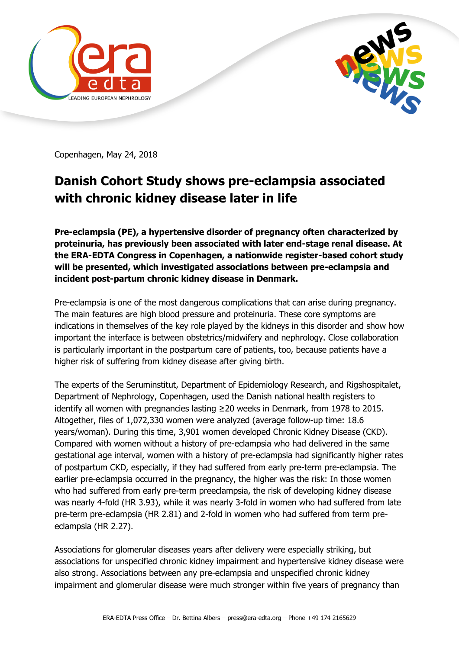



Copenhagen, May 24, 2018

## **Danish Cohort Study shows pre-eclampsia associated with chronic kidney disease later in life**

**Pre-eclampsia (PE), a hypertensive disorder of pregnancy often characterized by proteinuria, has previously been associated with later end-stage renal disease. At the ERA-EDTA Congress in Copenhagen, a nationwide register-based cohort study will be presented, which investigated associations between pre-eclampsia and incident post-partum chronic kidney disease in Denmark.**

Pre-eclampsia is one of the most dangerous complications that can arise during pregnancy. The main features are high blood pressure and proteinuria. These core symptoms are indications in themselves of the key role played by the kidneys in this disorder and show how important the interface is between obstetrics/midwifery and nephrology. Close collaboration is particularly important in the postpartum care of patients, too, because patients have a higher risk of suffering from kidney disease after giving birth.

The experts of the Seruminstitut, Department of Epidemiology Research, and Rigshospitalet, Department of Nephrology, Copenhagen, used the Danish national health registers to identify all women with pregnancies lasting ≥20 weeks in Denmark, from 1978 to 2015. Altogether, files of 1,072,330 women were analyzed (average follow-up time: 18.6 years/woman). During this time, 3,901 women developed Chronic Kidney Disease (CKD). Compared with women without a history of pre-eclampsia who had delivered in the same gestational age interval, women with a history of pre-eclampsia had significantly higher rates of postpartum CKD, especially, if they had suffered from early pre-term pre-eclampsia. The earlier pre-eclampsia occurred in the pregnancy, the higher was the risk: In those women who had suffered from early pre-term preeclampsia, the risk of developing kidney disease was nearly 4-fold (HR 3.93), while it was nearly 3-fold in women who had suffered from late pre-term pre-eclampsia (HR 2.81) and 2-fold in women who had suffered from term preeclampsia (HR 2.27).

Associations for glomerular diseases years after delivery were especially striking, but associations for unspecified chronic kidney impairment and hypertensive kidney disease were also strong. Associations between any pre-eclampsia and unspecified chronic kidney impairment and glomerular disease were much stronger within five years of pregnancy than